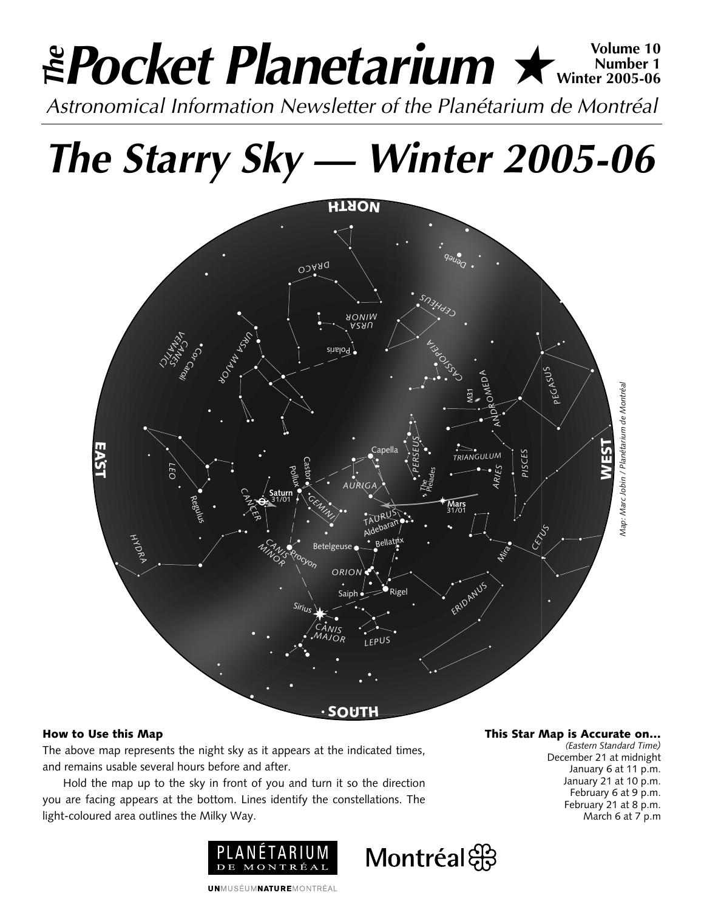# **Pocket Planetarium ★** Winter 10 **Number 1 Winter 2005-06** *Astronomical Information Newsletter of the Planétarium de Montréal The*

*The Starry Sky — Winter 2005-06*



Montréal

## **How to Use this Map**

The above map represents the night sky as it appears at the indicated times, and remains usable several hours before and after.

Hold the map up to the sky in front of you and turn it so the direction you are facing appears at the bottom. Lines identify the constellations. The light-coloured area outlines the Milky Way.



**UNMUSÉUMNATUREMONTRÉAL** 

**This Star Map is Accurate on…**

*(Eastern Standard Time)* December 21 at midnight January 6 at 11 p.m. January 21 at 10 p.m. February 6 at 9 p.m. February 21 at 8 p.m. March 6 at 7 p.m